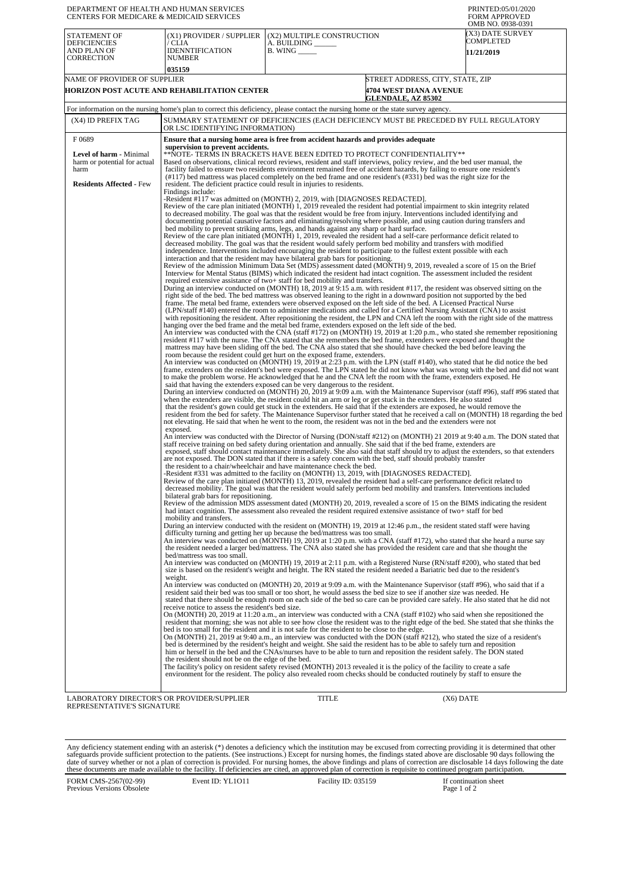| DEPARTMENT OF HEALTH AND HUMAN SERVICES<br>CENTERS FOR MEDICARE & MEDICAID SERVICES                                                |                                                                                                                                                                                                                                                                                                                                                                                                                                                                                                                                                                                                                                                                                                                                                                                                                                                                                                                                                                                                                                                                                                                                                                                                                                                                                                                                                                                                 |                                                                                                                                                                                                                                                                                                                                                                                                                                                                                                                                                                                                                                                                                                                                                                                                                                                                                                                                                                                                                                                                                                                                                                                                                                                                                                                                                                                                                                                                                                                                                                                                                                                                                                                                                                                                                                                                                                                                                                                                                                                                                                                                                                                                                                                                                                                                                                                                                                                                                                                                                                                                                                                                                                                                                                                                                                                                                                                                                                                                                                                                                                                                                                                                                                                                                                                                                                                                                                                                                                                                                                                                                                                                                                                                                                                                                                                                                                                                                                                                                                                                                                                                                                                                                                                                                                                                                                                                                                                                                                                                                                                                                                                                                                                                                                                                                                                                                                                                                                                                                                                                                                                                                                                                                                                                                                                                                                                                                                                                                                                                                                                                                                                                                                                                                                                                                                                                                |                                              | PRINTED:05/01/2020<br><b>FORM APPROVED</b><br>OMB NO. 0938-0391 |  |  |  |  |
|------------------------------------------------------------------------------------------------------------------------------------|-------------------------------------------------------------------------------------------------------------------------------------------------------------------------------------------------------------------------------------------------------------------------------------------------------------------------------------------------------------------------------------------------------------------------------------------------------------------------------------------------------------------------------------------------------------------------------------------------------------------------------------------------------------------------------------------------------------------------------------------------------------------------------------------------------------------------------------------------------------------------------------------------------------------------------------------------------------------------------------------------------------------------------------------------------------------------------------------------------------------------------------------------------------------------------------------------------------------------------------------------------------------------------------------------------------------------------------------------------------------------------------------------|--------------------------------------------------------------------------------------------------------------------------------------------------------------------------------------------------------------------------------------------------------------------------------------------------------------------------------------------------------------------------------------------------------------------------------------------------------------------------------------------------------------------------------------------------------------------------------------------------------------------------------------------------------------------------------------------------------------------------------------------------------------------------------------------------------------------------------------------------------------------------------------------------------------------------------------------------------------------------------------------------------------------------------------------------------------------------------------------------------------------------------------------------------------------------------------------------------------------------------------------------------------------------------------------------------------------------------------------------------------------------------------------------------------------------------------------------------------------------------------------------------------------------------------------------------------------------------------------------------------------------------------------------------------------------------------------------------------------------------------------------------------------------------------------------------------------------------------------------------------------------------------------------------------------------------------------------------------------------------------------------------------------------------------------------------------------------------------------------------------------------------------------------------------------------------------------------------------------------------------------------------------------------------------------------------------------------------------------------------------------------------------------------------------------------------------------------------------------------------------------------------------------------------------------------------------------------------------------------------------------------------------------------------------------------------------------------------------------------------------------------------------------------------------------------------------------------------------------------------------------------------------------------------------------------------------------------------------------------------------------------------------------------------------------------------------------------------------------------------------------------------------------------------------------------------------------------------------------------------------------------------------------------------------------------------------------------------------------------------------------------------------------------------------------------------------------------------------------------------------------------------------------------------------------------------------------------------------------------------------------------------------------------------------------------------------------------------------------------------------------------------------------------------------------------------------------------------------------------------------------------------------------------------------------------------------------------------------------------------------------------------------------------------------------------------------------------------------------------------------------------------------------------------------------------------------------------------------------------------------------------------------------------------------------------------------------------------------------------------------------------------------------------------------------------------------------------------------------------------------------------------------------------------------------------------------------------------------------------------------------------------------------------------------------------------------------------------------------------------------------------------------------------------------------------------------------------------------------------------------------------------------------------------------------------------------------------------------------------------------------------------------------------------------------------------------------------------------------------------------------------------------------------------------------------------------------------------------------------------------------------------------------------------------------------------------------------------------------------------------------------------------------------------------------------------------------------------------------------------------------------------------------------------------------------------------------------------------------------------------------------------------------------------------------------------------------------------------------------------------------------------------------------------------------------------------------------------------------------------------------------------|----------------------------------------------|-----------------------------------------------------------------|--|--|--|--|
| <b>STATEMENT OF</b><br><b>DEFICIENCIES</b><br>AND PLAN OF<br><b>CORRECTION</b>                                                     | (X1) PROVIDER / SUPPLIER<br>/ CLIA<br><b>IDENNTIFICATION</b><br>NUMBER                                                                                                                                                                                                                                                                                                                                                                                                                                                                                                                                                                                                                                                                                                                                                                                                                                                                                                                                                                                                                                                                                                                                                                                                                                                                                                                          | (X2) MULTIPLE CONSTRUCTION<br>A. BUILDING<br><b>B.</b> WING ______                                                                                                                                                                                                                                                                                                                                                                                                                                                                                                                                                                                                                                                                                                                                                                                                                                                                                                                                                                                                                                                                                                                                                                                                                                                                                                                                                                                                                                                                                                                                                                                                                                                                                                                                                                                                                                                                                                                                                                                                                                                                                                                                                                                                                                                                                                                                                                                                                                                                                                                                                                                                                                                                                                                                                                                                                                                                                                                                                                                                                                                                                                                                                                                                                                                                                                                                                                                                                                                                                                                                                                                                                                                                                                                                                                                                                                                                                                                                                                                                                                                                                                                                                                                                                                                                                                                                                                                                                                                                                                                                                                                                                                                                                                                                                                                                                                                                                                                                                                                                                                                                                                                                                                                                                                                                                                                                                                                                                                                                                                                                                                                                                                                                                                                                                                                                             |                                              | (X3) DATE SURVEY<br>COMPLETED<br><b>11/21/2019</b>              |  |  |  |  |
| NAME OF PROVIDER OF SUPPLIER                                                                                                       | 035159                                                                                                                                                                                                                                                                                                                                                                                                                                                                                                                                                                                                                                                                                                                                                                                                                                                                                                                                                                                                                                                                                                                                                                                                                                                                                                                                                                                          |                                                                                                                                                                                                                                                                                                                                                                                                                                                                                                                                                                                                                                                                                                                                                                                                                                                                                                                                                                                                                                                                                                                                                                                                                                                                                                                                                                                                                                                                                                                                                                                                                                                                                                                                                                                                                                                                                                                                                                                                                                                                                                                                                                                                                                                                                                                                                                                                                                                                                                                                                                                                                                                                                                                                                                                                                                                                                                                                                                                                                                                                                                                                                                                                                                                                                                                                                                                                                                                                                                                                                                                                                                                                                                                                                                                                                                                                                                                                                                                                                                                                                                                                                                                                                                                                                                                                                                                                                                                                                                                                                                                                                                                                                                                                                                                                                                                                                                                                                                                                                                                                                                                                                                                                                                                                                                                                                                                                                                                                                                                                                                                                                                                                                                                                                                                                                                                                                | STREET ADDRESS, CITY, STATE, ZIP             |                                                                 |  |  |  |  |
|                                                                                                                                    | HORIZON POST ACUTE AND REHABILITATION CENTER                                                                                                                                                                                                                                                                                                                                                                                                                                                                                                                                                                                                                                                                                                                                                                                                                                                                                                                                                                                                                                                                                                                                                                                                                                                                                                                                                    |                                                                                                                                                                                                                                                                                                                                                                                                                                                                                                                                                                                                                                                                                                                                                                                                                                                                                                                                                                                                                                                                                                                                                                                                                                                                                                                                                                                                                                                                                                                                                                                                                                                                                                                                                                                                                                                                                                                                                                                                                                                                                                                                                                                                                                                                                                                                                                                                                                                                                                                                                                                                                                                                                                                                                                                                                                                                                                                                                                                                                                                                                                                                                                                                                                                                                                                                                                                                                                                                                                                                                                                                                                                                                                                                                                                                                                                                                                                                                                                                                                                                                                                                                                                                                                                                                                                                                                                                                                                                                                                                                                                                                                                                                                                                                                                                                                                                                                                                                                                                                                                                                                                                                                                                                                                                                                                                                                                                                                                                                                                                                                                                                                                                                                                                                                                                                                                                                | 4704 WEST DIANA AVENUE<br>GLENDALE, AZ 85302 |                                                                 |  |  |  |  |
| For information on the nursing home's plan to correct this deficiency, please contact the nursing home or the state survey agency. |                                                                                                                                                                                                                                                                                                                                                                                                                                                                                                                                                                                                                                                                                                                                                                                                                                                                                                                                                                                                                                                                                                                                                                                                                                                                                                                                                                                                 |                                                                                                                                                                                                                                                                                                                                                                                                                                                                                                                                                                                                                                                                                                                                                                                                                                                                                                                                                                                                                                                                                                                                                                                                                                                                                                                                                                                                                                                                                                                                                                                                                                                                                                                                                                                                                                                                                                                                                                                                                                                                                                                                                                                                                                                                                                                                                                                                                                                                                                                                                                                                                                                                                                                                                                                                                                                                                                                                                                                                                                                                                                                                                                                                                                                                                                                                                                                                                                                                                                                                                                                                                                                                                                                                                                                                                                                                                                                                                                                                                                                                                                                                                                                                                                                                                                                                                                                                                                                                                                                                                                                                                                                                                                                                                                                                                                                                                                                                                                                                                                                                                                                                                                                                                                                                                                                                                                                                                                                                                                                                                                                                                                                                                                                                                                                                                                                                                |                                              |                                                                 |  |  |  |  |
| (X4) ID PREFIX TAG                                                                                                                 |                                                                                                                                                                                                                                                                                                                                                                                                                                                                                                                                                                                                                                                                                                                                                                                                                                                                                                                                                                                                                                                                                                                                                                                                                                                                                                                                                                                                 | SUMMARY STATEMENT OF DEFICIENCIES (EACH DEFICIENCY MUST BE PRECEDED BY FULL REGULATORY                                                                                                                                                                                                                                                                                                                                                                                                                                                                                                                                                                                                                                                                                                                                                                                                                                                                                                                                                                                                                                                                                                                                                                                                                                                                                                                                                                                                                                                                                                                                                                                                                                                                                                                                                                                                                                                                                                                                                                                                                                                                                                                                                                                                                                                                                                                                                                                                                                                                                                                                                                                                                                                                                                                                                                                                                                                                                                                                                                                                                                                                                                                                                                                                                                                                                                                                                                                                                                                                                                                                                                                                                                                                                                                                                                                                                                                                                                                                                                                                                                                                                                                                                                                                                                                                                                                                                                                                                                                                                                                                                                                                                                                                                                                                                                                                                                                                                                                                                                                                                                                                                                                                                                                                                                                                                                                                                                                                                                                                                                                                                                                                                                                                                                                                                                                         |                                              |                                                                 |  |  |  |  |
|                                                                                                                                    | Ensure that a nursing home area is free from accident hazards and provides adequate                                                                                                                                                                                                                                                                                                                                                                                                                                                                                                                                                                                                                                                                                                                                                                                                                                                                                                                                                                                                                                                                                                                                                                                                                                                                                                             |                                                                                                                                                                                                                                                                                                                                                                                                                                                                                                                                                                                                                                                                                                                                                                                                                                                                                                                                                                                                                                                                                                                                                                                                                                                                                                                                                                                                                                                                                                                                                                                                                                                                                                                                                                                                                                                                                                                                                                                                                                                                                                                                                                                                                                                                                                                                                                                                                                                                                                                                                                                                                                                                                                                                                                                                                                                                                                                                                                                                                                                                                                                                                                                                                                                                                                                                                                                                                                                                                                                                                                                                                                                                                                                                                                                                                                                                                                                                                                                                                                                                                                                                                                                                                                                                                                                                                                                                                                                                                                                                                                                                                                                                                                                                                                                                                                                                                                                                                                                                                                                                                                                                                                                                                                                                                                                                                                                                                                                                                                                                                                                                                                                                                                                                                                                                                                                                                |                                              |                                                                 |  |  |  |  |
| F0689<br><b>Level of harm - Minimal</b><br>harm or potential for actual<br>harm<br><b>Residents Affected - Few</b>                 | OR LSC IDENTIFYING INFORMATION)<br>supervision to prevent accidents.<br>resident. The deficient practice could result in injuries to residents.<br>Findings include:<br>exposed.<br>bilateral grab bars for repositioning.<br>mobility and transfers.                                                                                                                                                                                                                                                                                                                                                                                                                                                                                                                                                                                                                                                                                                                                                                                                                                                                                                                                                                                                                                                                                                                                           | **NOTE- TERMS IN BRACKETS HAVE BEEN EDITED TO PROTECT CONFIDENTIALITY**<br>Based on observations, clinical record reviews, resident and staff interviews, policy review, and the bed user manual, the<br>facility failed to ensure two residents environment remained free of accident hazards, by failing to ensure one resident's<br>$(\#117)$ bed mattress was placed completely on the bed frame and one resident's $(\#331)$ bed was the right size for the<br>-Resident #117 was admitted on (MONTH) 2, 2019, with [DIAGNOSES REDACTED].<br>Review of the care plan initiated (MONTH) 1, 2019 revealed the resident had potential impairment to skin integrity related<br>to decreased mobility. The goal was that the resident would be free from injury. Interventions included identifying and<br>documenting potential causative factors and eliminating/resolving where possible, and using caution during transfers and<br>bed mobility to prevent striking arms, legs, and hands against any sharp or hard surface.<br>Review of the care plan initiated (MONTH) 1, 2019, revealed the resident had a self-care performance deficit related to<br>decreased mobility. The goal was that the resident would safely perform bed mobility and transfers with modified<br>independence. Interventions included encouraging the resident to participate to the fullest extent possible with each<br>interaction and that the resident may have bilateral grab bars for positioning.<br>Review of the admission Minimum Data Set (MDS) assessment dated (MONTH) 9, 2019, revealed a score of 15 on the Brief<br>Interview for Mental Status (BIMS) which indicated the resident had intact cognition. The assessment included the resident<br>required extensive assistance of two+ staff for bed mobility and transfers.<br>During an interview conducted on (MONTH) 18, 2019 at 9:15 a.m. with resident #117, the resident was observed sitting on the<br>right side of the bed. The bed mattress was observed leaning to the right in a downward position not supported by the bed<br>frame. The metal bed frame, extenders were observed exposed on the left side of the bed. A Licensed Practical Nurse<br>(LPN/staff #140) entered the room to administer medications and called for a Certified Nursing Assistant (CNA) to assist<br>with repositioning the resident. After repositioning the resident, the LPN and CNA left the room with the right side of the mattress<br>hanging over the bed frame and the metal bed frame, extenders exposed on the left side of the bed.<br>An interview was conducted with the CNA (staff #172) on (MONTH) 19, 2019 at 1:20 p.m., who stated she remember repositioning<br>resident #117 with the nurse. The CNA stated that she remembers the bed frame, extenders were exposed and thought the<br>mattress may have been sliding off the bed. The CNA also stated that she should have checked the bed before leaving the<br>room because the resident could get hurt on the exposed frame, extenders.<br>An interview was conducted on (MONTH) 19, 2019 at 2:23 p.m. with the LPN (staff #140), who stated that he did notice the bed<br>frame, extenders on the resident's bed were exposed. The LPN stated he did not know what was wrong with the bed and did not want<br>to make the problem worse. He acknowledged that he and the CNA left the room with the frame, extenders exposed. He<br>said that having the extenders exposed can be very dangerous to the resident.<br>During an interview conducted on (MONTH) 20, 2019 at 9:09 a.m. with the Maintenance Supervisor (staff #96), staff #96 stated that<br>when the extenders are visible, the resident could hit an arm or leg or get stuck in the extenders. He also stated<br>that the resident's gown could get stuck in the extenders. He said that if the extenders are exposed, he would remove the<br>resident from the bed for safety. The Maintenance Supervisor further stated that he received a call on (MONTH) 18 regarding the bed<br>not elevating. He said that when he went to the room, the resident was not in the bed and the extenders were not<br>An interview was conducted with the Director of Nursing (DON/staff #212) on (MONTH) 21 2019 at 9:40 a.m. The DON stated that<br>staff receive training on bed safety during orientation and annually. She said that if the bed frame, extenders are<br>exposed, staff should contact maintenance immediately. She also said that staff should try to adjust the extenders, so that extenders<br>are not exposed. The DON stated that if there is a safety concern with the bed, staff should probably transfer<br>the resident to a chair/wheelchair and have maintenance check the bed.<br>-Resident #331 was admitted to the facility on (MONTH) 13, 2019, with [DIAGNOSES REDACTED].<br>Review of the care plan initiated (MONTH) 13, 2019, revealed the resident had a self-care performance deficit related to<br>decreased mobility. The goal was that the resident would safely perform bed mobility and transfers. Interventions included<br>Review of the admission MDS assessment dated (MONTH) 20, 2019, revealed a score of 15 on the BIMS indicating the resident<br>had intact cognition. The assessment also revealed the resident required extensive assistance of two+ staff for bed<br>During an interview conducted with the resident on (MONTH) 19, 2019 at 12:46 p.m., the resident stated staff were having<br>difficulty turning and getting her up because the bed/mattress was too small.<br>An interview was conducted on (MONTH) 19, 2019 at 1:20 p.m. with a CNA (staff #172), who stated that she heard a nurse say<br>the resident needed a larger bed/mattress. The CNA also stated she has provided the resident care and that she thought the |                                              |                                                                 |  |  |  |  |
|                                                                                                                                    | bed/mattress was too small.<br>weight.                                                                                                                                                                                                                                                                                                                                                                                                                                                                                                                                                                                                                                                                                                                                                                                                                                                                                                                                                                                                                                                                                                                                                                                                                                                                                                                                                          | An interview was conducted on (MONTH) 19, 2019 at 2:11 p.m. with a Registered Nurse (RN/staff #200), who stated that bed<br>size is based on the resident's weight and height. The RN stated the resident needed a Bariatric bed due to the resident's<br>An interview was conducted on (MONTH) 20, 2019 at 9:09 a.m. with the Maintenance Supervisor (staff #96), who said that if a                                                                                                                                                                                                                                                                                                                                                                                                                                                                                                                                                                                                                                                                                                                                                                                                                                                                                                                                                                                                                                                                                                                                                                                                                                                                                                                                                                                                                                                                                                                                                                                                                                                                                                                                                                                                                                                                                                                                                                                                                                                                                                                                                                                                                                                                                                                                                                                                                                                                                                                                                                                                                                                                                                                                                                                                                                                                                                                                                                                                                                                                                                                                                                                                                                                                                                                                                                                                                                                                                                                                                                                                                                                                                                                                                                                                                                                                                                                                                                                                                                                                                                                                                                                                                                                                                                                                                                                                                                                                                                                                                                                                                                                                                                                                                                                                                                                                                                                                                                                                                                                                                                                                                                                                                                                                                                                                                                                                                                                                                          |                                              |                                                                 |  |  |  |  |
|                                                                                                                                    | resident said their bed was too small or too short, he would assess the bed size to see if another size was needed. He<br>stated that there should be enough room on each side of the bed so care can be provided care safely. He also stated that he did not<br>receive notice to assess the resident's bed size.<br>On (MONTH) 20, 2019 at 11:20 a.m., an interview was conducted with a CNA (staff #102) who said when she repositioned the<br>resident that morning; she was not able to see how close the resident was to the right edge of the bed. She stated that she thinks the<br>bed is too small for the resident and it is not safe for the resident to be close to the edge.<br>On (MONTH) 21, 2019 at 9:40 a.m., an interview was conducted with the DON (staff #212), who stated the size of a resident's<br>bed is determined by the resident's height and weight. She said the resident has to be able to safely turn and reposition<br>him or herself in the bed and the CNAs/nurses have to be able to turn and reposition the resident safely. The DON stated<br>the resident should not be on the edge of the bed.<br>The facility's policy on resident safety revised (MONTH) 2013 revealed it is the policy of the facility to create a safe<br>environment for the resident. The policy also revealed room checks should be conducted routinely by staff to ensure the |                                                                                                                                                                                                                                                                                                                                                                                                                                                                                                                                                                                                                                                                                                                                                                                                                                                                                                                                                                                                                                                                                                                                                                                                                                                                                                                                                                                                                                                                                                                                                                                                                                                                                                                                                                                                                                                                                                                                                                                                                                                                                                                                                                                                                                                                                                                                                                                                                                                                                                                                                                                                                                                                                                                                                                                                                                                                                                                                                                                                                                                                                                                                                                                                                                                                                                                                                                                                                                                                                                                                                                                                                                                                                                                                                                                                                                                                                                                                                                                                                                                                                                                                                                                                                                                                                                                                                                                                                                                                                                                                                                                                                                                                                                                                                                                                                                                                                                                                                                                                                                                                                                                                                                                                                                                                                                                                                                                                                                                                                                                                                                                                                                                                                                                                                                                                                                                                                |                                              |                                                                 |  |  |  |  |
| LABORATORY DIRECTOR'S OR PROVIDER/SUPPLIER<br>TITLE<br>$(X6)$ DATE                                                                 |                                                                                                                                                                                                                                                                                                                                                                                                                                                                                                                                                                                                                                                                                                                                                                                                                                                                                                                                                                                                                                                                                                                                                                                                                                                                                                                                                                                                 |                                                                                                                                                                                                                                                                                                                                                                                                                                                                                                                                                                                                                                                                                                                                                                                                                                                                                                                                                                                                                                                                                                                                                                                                                                                                                                                                                                                                                                                                                                                                                                                                                                                                                                                                                                                                                                                                                                                                                                                                                                                                                                                                                                                                                                                                                                                                                                                                                                                                                                                                                                                                                                                                                                                                                                                                                                                                                                                                                                                                                                                                                                                                                                                                                                                                                                                                                                                                                                                                                                                                                                                                                                                                                                                                                                                                                                                                                                                                                                                                                                                                                                                                                                                                                                                                                                                                                                                                                                                                                                                                                                                                                                                                                                                                                                                                                                                                                                                                                                                                                                                                                                                                                                                                                                                                                                                                                                                                                                                                                                                                                                                                                                                                                                                                                                                                                                                                                |                                              |                                                                 |  |  |  |  |

LABORATORY DIRECTOR'S OR PROVIDER/SUPPLIER REPRESENTATIVE'S SIGNATURE

Any deficiency statement ending with an asterisk (\*) denotes a deficiency which the institution may be excused from correcting providing it is determined that other safeguards provide sufficient protection to the patients.

FORM CMS-2567(02-99) Previous Versions Obsolete Event ID: YL1O11 Facility ID: 035159 If continuation sheet<br>Page 1 of 2